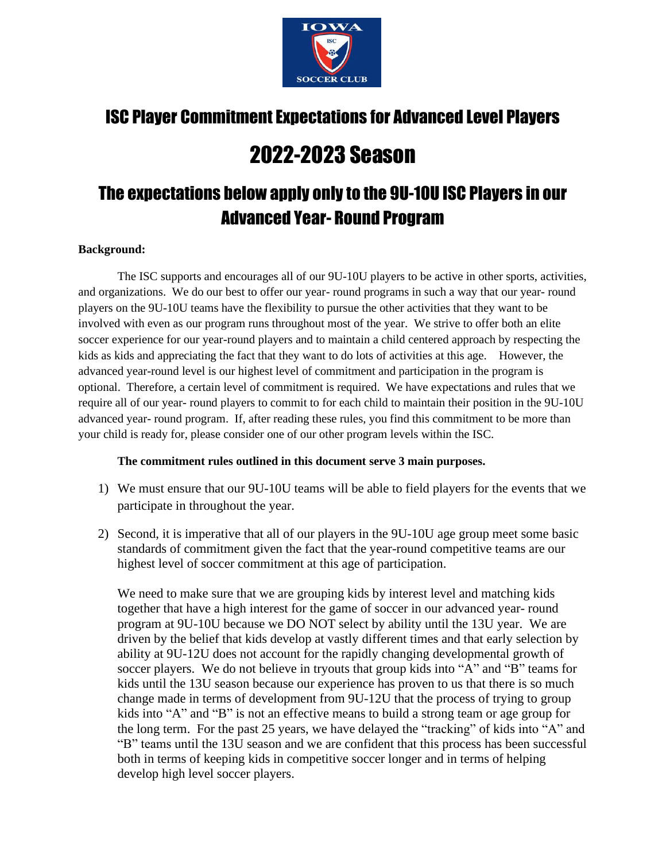

# ISC Player Commitment Expectations for Advanced Level Players

# 2022-2023 Season

# The expectations below apply only to the 9U-10U ISC Players in our Advanced Year- Round Program

#### **Background:**

The ISC supports and encourages all of our 9U-10U players to be active in other sports, activities, and organizations. We do our best to offer our year- round programs in such a way that our year- round players on the 9U-10U teams have the flexibility to pursue the other activities that they want to be involved with even as our program runs throughout most of the year. We strive to offer both an elite soccer experience for our year-round players and to maintain a child centered approach by respecting the kids as kids and appreciating the fact that they want to do lots of activities at this age. However, the advanced year-round level is our highest level of commitment and participation in the program is optional. Therefore, a certain level of commitment is required. We have expectations and rules that we require all of our year- round players to commit to for each child to maintain their position in the 9U-10U advanced year- round program. If, after reading these rules, you find this commitment to be more than your child is ready for, please consider one of our other program levels within the ISC.

### **The commitment rules outlined in this document serve 3 main purposes.**

- 1) We must ensure that our 9U-10U teams will be able to field players for the events that we participate in throughout the year.
- 2) Second, it is imperative that all of our players in the 9U-10U age group meet some basic standards of commitment given the fact that the year-round competitive teams are our highest level of soccer commitment at this age of participation.

We need to make sure that we are grouping kids by interest level and matching kids together that have a high interest for the game of soccer in our advanced year- round program at 9U-10U because we DO NOT select by ability until the 13U year. We are driven by the belief that kids develop at vastly different times and that early selection by ability at 9U-12U does not account for the rapidly changing developmental growth of soccer players. We do not believe in tryouts that group kids into "A" and "B" teams for kids until the 13U season because our experience has proven to us that there is so much change made in terms of development from 9U-12U that the process of trying to group kids into "A" and "B" is not an effective means to build a strong team or age group for the long term. For the past 25 years, we have delayed the "tracking" of kids into "A" and "B" teams until the 13U season and we are confident that this process has been successful both in terms of keeping kids in competitive soccer longer and in terms of helping develop high level soccer players.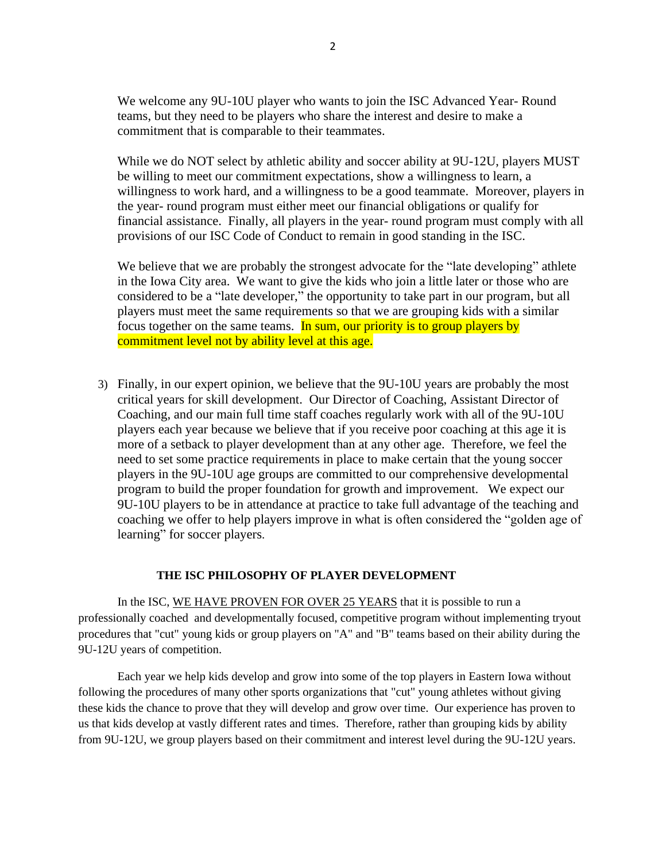We welcome any 9U-10U player who wants to join the ISC Advanced Year- Round teams, but they need to be players who share the interest and desire to make a commitment that is comparable to their teammates.

While we do NOT select by athletic ability and soccer ability at 9U-12U, players MUST be willing to meet our commitment expectations, show a willingness to learn, a willingness to work hard, and a willingness to be a good teammate. Moreover, players in the year- round program must either meet our financial obligations or qualify for financial assistance. Finally, all players in the year- round program must comply with all provisions of our ISC Code of Conduct to remain in good standing in the ISC.

We believe that we are probably the strongest advocate for the "late developing" athlete in the Iowa City area. We want to give the kids who join a little later or those who are considered to be a "late developer," the opportunity to take part in our program, but all players must meet the same requirements so that we are grouping kids with a similar focus together on the same teams. In sum, our priority is to group players by commitment level not by ability level at this age.

3) Finally, in our expert opinion, we believe that the 9U-10U years are probably the most critical years for skill development. Our Director of Coaching, Assistant Director of Coaching, and our main full time staff coaches regularly work with all of the 9U-10U players each year because we believe that if you receive poor coaching at this age it is more of a setback to player development than at any other age. Therefore, we feel the need to set some practice requirements in place to make certain that the young soccer players in the 9U-10U age groups are committed to our comprehensive developmental program to build the proper foundation for growth and improvement. We expect our 9U-10U players to be in attendance at practice to take full advantage of the teaching and coaching we offer to help players improve in what is often considered the "golden age of learning" for soccer players.

#### **THE ISC PHILOSOPHY OF PLAYER DEVELOPMENT**

In the ISC, WE HAVE PROVEN FOR OVER 25 YEARS that it is possible to run a professionally coached and developmentally focused, competitive program without implementing tryout procedures that "cut" young kids or group players on "A" and "B" teams based on their ability during the 9U-12U years of competition.

Each year we help kids develop and grow into some of the top players in Eastern Iowa without following the procedures of many other sports organizations that "cut" young athletes without giving these kids the chance to prove that they will develop and grow over time. Our experience has proven to us that kids develop at vastly different rates and times. Therefore, rather than grouping kids by ability from 9U-12U, we group players based on their commitment and interest level during the 9U-12U years.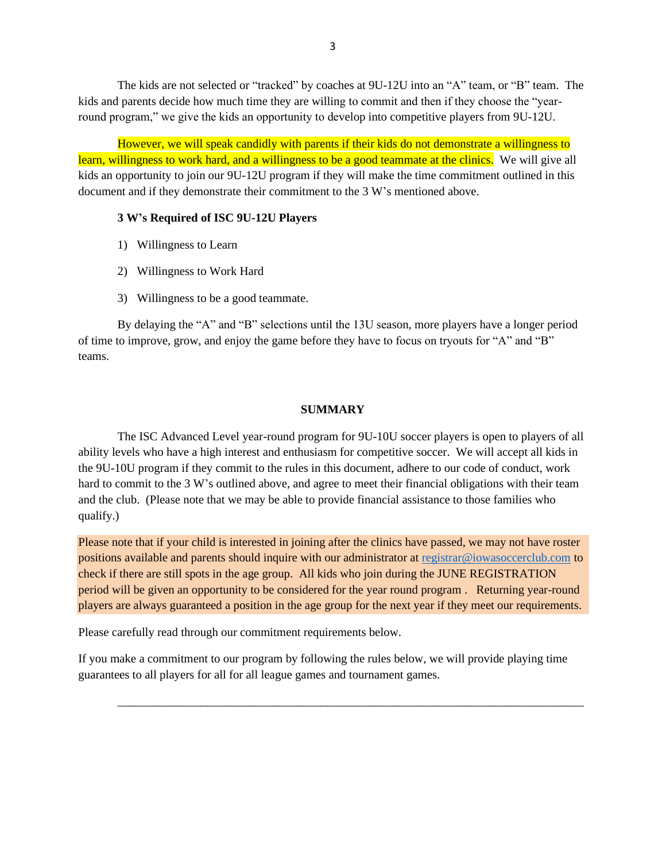The kids are not selected or "tracked" by coaches at 9U-12U into an "A" team, or "B" team. The kids and parents decide how much time they are willing to commit and then if they choose the "yearround program," we give the kids an opportunity to develop into competitive players from 9U-12U.

However, we will speak candidly with parents if their kids do not demonstrate a willingness to learn, willingness to work hard, and a willingness to be a good teammate at the clinics. We will give all kids an opportunity to join our 9U-12U program if they will make the time commitment outlined in this document and if they demonstrate their commitment to the 3 W's mentioned above.

#### **3 W's Required of ISC 9U-12U Players**

- 1) Willingness to Learn
- 2) Willingness to Work Hard
- 3) Willingness to be a good teammate.

By delaying the "A" and "B" selections until the 13U season, more players have a longer period of time to improve, grow, and enjoy the game before they have to focus on tryouts for "A" and "B" teams.

#### **SUMMARY**

The ISC Advanced Level year-round program for 9U-10U soccer players is open to players of all ability levels who have a high interest and enthusiasm for competitive soccer. We will accept all kids in the 9U-10U program if they commit to the rules in this document, adhere to our code of conduct, work hard to commit to the 3 W's outlined above, and agree to meet their financial obligations with their team and the club. (Please note that we may be able to provide financial assistance to those families who qualify.)

Please note that if your child is interested in joining after the clinics have passed, we may not have roster positions available and parents should inquire with our administrator at [registrar@iowasoccerclub.com](mailto:registrar@iowasoccerclub.com) to check if there are still spots in the age group. All kids who join during the JUNE REGISTRATION period will be given an opportunity to be considered for the year round program . Returning year-round players are always guaranteed a position in the age group for the next year if they meet our requirements.

Please carefully read through our commitment requirements below.

If you make a commitment to our program by following the rules below, we will provide playing time guarantees to all players for all for all league games and tournament games.

\_\_\_\_\_\_\_\_\_\_\_\_\_\_\_\_\_\_\_\_\_\_\_\_\_\_\_\_\_\_\_\_\_\_\_\_\_\_\_\_\_\_\_\_\_\_\_\_\_\_\_\_\_\_\_\_\_\_\_\_\_\_\_\_\_\_\_\_\_\_\_\_\_\_\_\_\_\_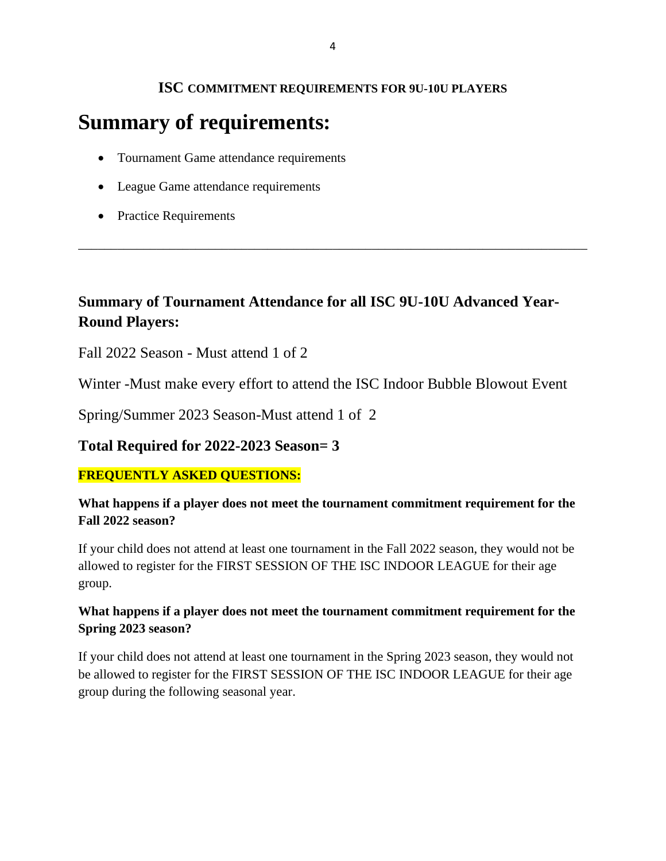## **ISC COMMITMENT REQUIREMENTS FOR 9U-10U PLAYERS**

# **Summary of requirements:**

- Tournament Game attendance requirements
- League Game attendance requirements
- Practice Requirements

# **Summary of Tournament Attendance for all ISC 9U-10U Advanced Year-Round Players:**

\_\_\_\_\_\_\_\_\_\_\_\_\_\_\_\_\_\_\_\_\_\_\_\_\_\_\_\_\_\_\_\_\_\_\_\_\_\_\_\_\_\_\_\_\_\_\_\_\_\_\_\_\_\_\_\_\_\_\_\_\_\_\_\_\_\_\_\_\_\_\_\_\_\_\_\_\_\_

Fall 2022 Season - Must attend 1 of 2

Winter -Must make every effort to attend the ISC Indoor Bubble Blowout Event

Spring/Summer 2023 Season-Must attend 1 of 2

## **Total Required for 2022-2023 Season= 3**

## **FREQUENTLY ASKED QUESTIONS:**

## **What happens if a player does not meet the tournament commitment requirement for the Fall 2022 season?**

If your child does not attend at least one tournament in the Fall 2022 season, they would not be allowed to register for the FIRST SESSION OF THE ISC INDOOR LEAGUE for their age group.

## **What happens if a player does not meet the tournament commitment requirement for the Spring 2023 season?**

If your child does not attend at least one tournament in the Spring 2023 season, they would not be allowed to register for the FIRST SESSION OF THE ISC INDOOR LEAGUE for their age group during the following seasonal year.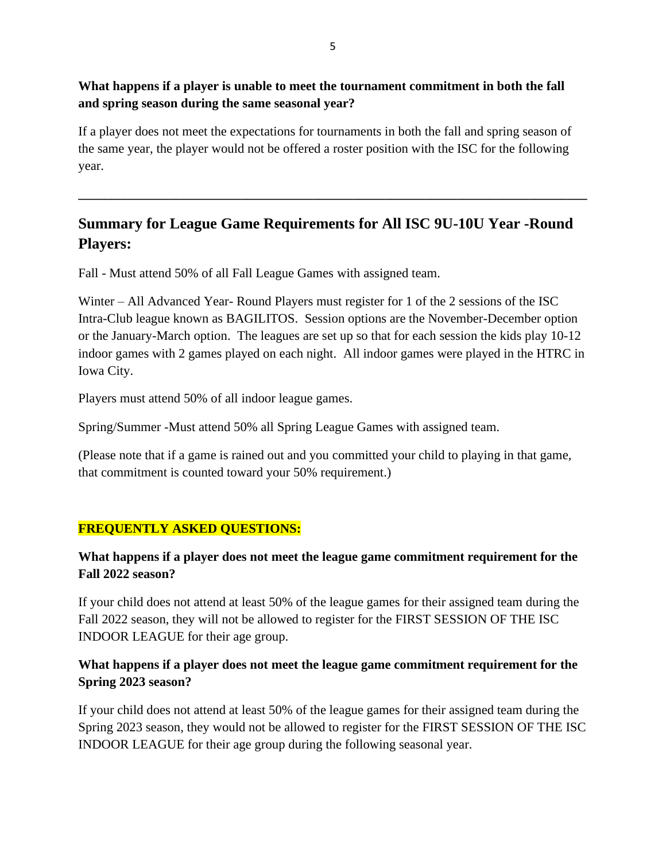## **What happens if a player is unable to meet the tournament commitment in both the fall and spring season during the same seasonal year?**

If a player does not meet the expectations for tournaments in both the fall and spring season of the same year, the player would not be offered a roster position with the ISC for the following year.

## **Summary for League Game Requirements for All ISC 9U-10U Year -Round Players:**

**\_\_\_\_\_\_\_\_\_\_\_\_\_\_\_\_\_\_\_\_\_\_\_\_\_\_\_\_\_\_\_\_\_\_\_\_\_\_\_\_\_\_\_\_\_\_\_\_\_\_\_\_\_\_\_\_\_\_\_\_\_\_\_\_\_\_\_\_\_\_\_\_\_\_\_\_\_\_**

Fall - Must attend 50% of all Fall League Games with assigned team.

Winter – All Advanced Year- Round Players must register for 1 of the 2 sessions of the ISC Intra-Club league known as BAGILITOS. Session options are the November-December option or the January-March option. The leagues are set up so that for each session the kids play 10-12 indoor games with 2 games played on each night. All indoor games were played in the HTRC in Iowa City.

Players must attend 50% of all indoor league games.

Spring/Summer -Must attend 50% all Spring League Games with assigned team.

(Please note that if a game is rained out and you committed your child to playing in that game, that commitment is counted toward your 50% requirement.)

## **FREQUENTLY ASKED QUESTIONS:**

## **What happens if a player does not meet the league game commitment requirement for the Fall 2022 season?**

If your child does not attend at least 50% of the league games for their assigned team during the Fall 2022 season, they will not be allowed to register for the FIRST SESSION OF THE ISC INDOOR LEAGUE for their age group.

## **What happens if a player does not meet the league game commitment requirement for the Spring 2023 season?**

If your child does not attend at least 50% of the league games for their assigned team during the Spring 2023 season, they would not be allowed to register for the FIRST SESSION OF THE ISC INDOOR LEAGUE for their age group during the following seasonal year.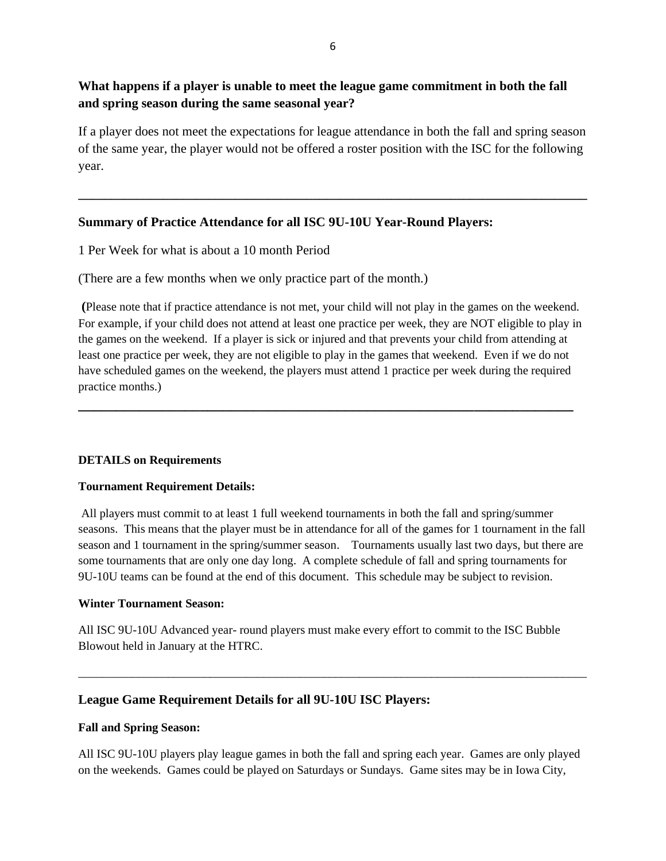## **What happens if a player is unable to meet the league game commitment in both the fall and spring season during the same seasonal year?**

If a player does not meet the expectations for league attendance in both the fall and spring season of the same year, the player would not be offered a roster position with the ISC for the following year.

**\_\_\_\_\_\_\_\_\_\_\_\_\_\_\_\_\_\_\_\_\_\_\_\_\_\_\_\_\_\_\_\_\_\_\_\_\_\_\_\_\_\_\_\_\_\_\_\_\_\_\_\_\_\_\_\_\_\_\_\_\_\_\_\_\_\_\_\_\_\_\_\_\_\_\_\_\_\_**

### **Summary of Practice Attendance for all ISC 9U-10U Year-Round Players:**

1 Per Week for what is about a 10 month Period

(There are a few months when we only practice part of the month.)

**(**Please note that if practice attendance is not met, your child will not play in the games on the weekend. For example, if your child does not attend at least one practice per week, they are NOT eligible to play in the games on the weekend. If a player is sick or injured and that prevents your child from attending at least one practice per week, they are not eligible to play in the games that weekend. Even if we do not have scheduled games on the weekend, the players must attend 1 practice per week during the required practice months.)

**\_\_\_\_\_\_\_\_\_\_\_\_\_\_\_\_\_\_\_\_\_\_\_\_\_\_\_\_\_\_\_\_\_\_\_\_\_\_\_\_\_\_\_\_\_\_\_\_\_\_\_\_\_\_\_\_\_\_\_\_\_\_\_\_\_**

### **DETAILS on Requirements**

#### **Tournament Requirement Details:**

All players must commit to at least 1 full weekend tournaments in both the fall and spring/summer seasons. This means that the player must be in attendance for all of the games for 1 tournament in the fall season and 1 tournament in the spring/summer season. Tournaments usually last two days, but there are some tournaments that are only one day long. A complete schedule of fall and spring tournaments for 9U-10U teams can be found at the end of this document. This schedule may be subject to revision.

#### **Winter Tournament Season:**

All ISC 9U-10U Advanced year- round players must make every effort to commit to the ISC Bubble Blowout held in January at the HTRC.

\_\_\_\_\_\_\_\_\_\_\_\_\_\_\_\_\_\_\_\_\_\_\_\_\_\_\_\_\_\_\_\_\_\_\_\_\_\_\_\_\_\_\_\_\_\_\_\_\_\_\_\_\_\_\_\_\_\_\_\_\_\_\_\_\_\_\_\_\_\_\_\_\_\_\_\_\_\_\_\_\_\_\_\_\_

### **League Game Requirement Details for all 9U-10U ISC Players:**

#### **Fall and Spring Season:**

All ISC 9U-10U players play league games in both the fall and spring each year. Games are only played on the weekends. Games could be played on Saturdays or Sundays. Game sites may be in Iowa City,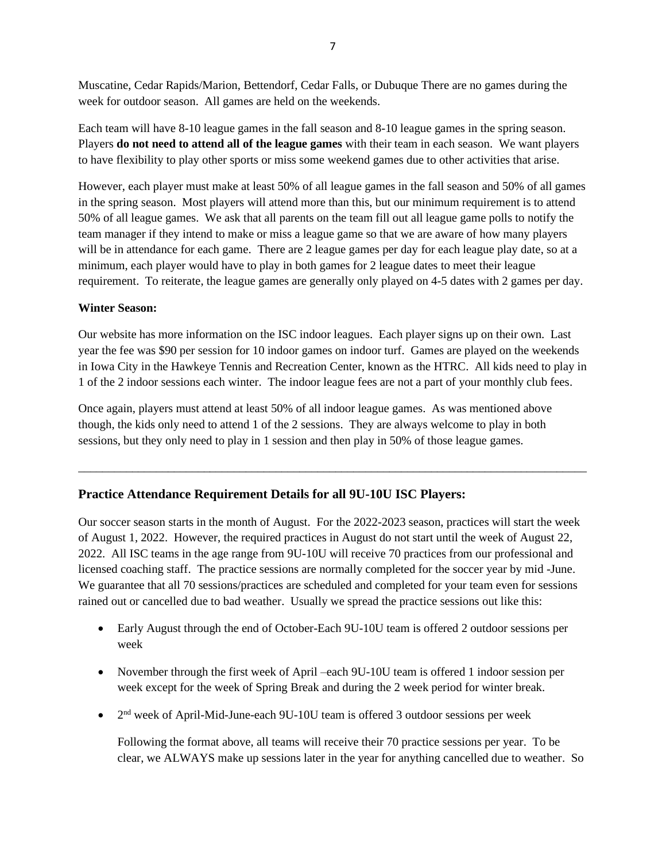Muscatine, Cedar Rapids/Marion, Bettendorf, Cedar Falls, or Dubuque There are no games during the week for outdoor season. All games are held on the weekends.

Each team will have 8-10 league games in the fall season and 8-10 league games in the spring season. Players **do not need to attend all of the league games** with their team in each season. We want players to have flexibility to play other sports or miss some weekend games due to other activities that arise.

However, each player must make at least 50% of all league games in the fall season and 50% of all games in the spring season. Most players will attend more than this, but our minimum requirement is to attend 50% of all league games. We ask that all parents on the team fill out all league game polls to notify the team manager if they intend to make or miss a league game so that we are aware of how many players will be in attendance for each game. There are 2 league games per day for each league play date, so at a minimum, each player would have to play in both games for 2 league dates to meet their league requirement. To reiterate, the league games are generally only played on 4-5 dates with 2 games per day.

#### **Winter Season:**

Our website has more information on the ISC indoor leagues. Each player signs up on their own. Last year the fee was \$90 per session for 10 indoor games on indoor turf. Games are played on the weekends in Iowa City in the Hawkeye Tennis and Recreation Center, known as the HTRC. All kids need to play in 1 of the 2 indoor sessions each winter. The indoor league fees are not a part of your monthly club fees.

Once again, players must attend at least 50% of all indoor league games. As was mentioned above though, the kids only need to attend 1 of the 2 sessions. They are always welcome to play in both sessions, but they only need to play in 1 session and then play in 50% of those league games.

### **Practice Attendance Requirement Details for all 9U-10U ISC Players:**

Our soccer season starts in the month of August. For the 2022-2023 season, practices will start the week of August 1, 2022. However, the required practices in August do not start until the week of August 22, 2022. All ISC teams in the age range from 9U-10U will receive 70 practices from our professional and licensed coaching staff. The practice sessions are normally completed for the soccer year by mid -June. We guarantee that all 70 sessions/practices are scheduled and completed for your team even for sessions rained out or cancelled due to bad weather. Usually we spread the practice sessions out like this:

\_\_\_\_\_\_\_\_\_\_\_\_\_\_\_\_\_\_\_\_\_\_\_\_\_\_\_\_\_\_\_\_\_\_\_\_\_\_\_\_\_\_\_\_\_\_\_\_\_\_\_\_\_\_\_\_\_\_\_\_\_\_\_\_\_\_\_\_\_\_\_\_\_\_\_\_\_\_\_\_\_\_\_\_\_

- Early August through the end of October-Each 9U-10U team is offered 2 outdoor sessions per week
- November through the first week of April –each 9U-10U team is offered 1 indoor session per week except for the week of Spring Break and during the 2 week period for winter break.
- 2<sup>nd</sup> week of April-Mid-June-each 9U-10U team is offered 3 outdoor sessions per week

Following the format above, all teams will receive their 70 practice sessions per year. To be clear, we ALWAYS make up sessions later in the year for anything cancelled due to weather. So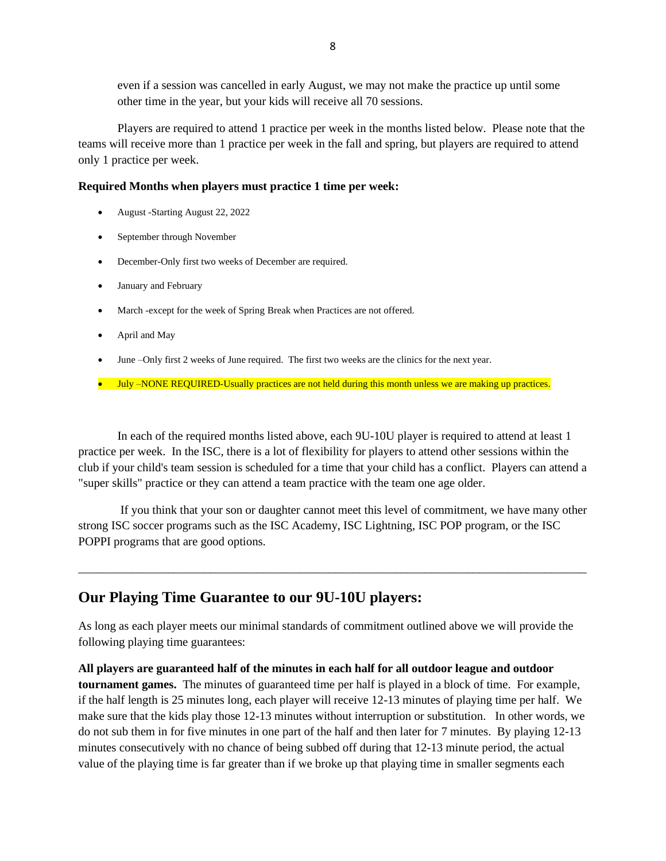even if a session was cancelled in early August, we may not make the practice up until some other time in the year, but your kids will receive all 70 sessions.

Players are required to attend 1 practice per week in the months listed below. Please note that the teams will receive more than 1 practice per week in the fall and spring, but players are required to attend only 1 practice per week.

#### **Required Months when players must practice 1 time per week:**

- August -Starting August 22, 2022
- September through November
- December-Only first two weeks of December are required.
- January and February
- March -except for the week of Spring Break when Practices are not offered.
- April and May
- June –Only first 2 weeks of June required. The first two weeks are the clinics for the next year.
- July –NONE REQUIRED-Usually practices are not held during this month unless we are making up practices.

In each of the required months listed above, each 9U-10U player is required to attend at least 1 practice per week. In the ISC, there is a lot of flexibility for players to attend other sessions within the club if your child's team session is scheduled for a time that your child has a conflict. Players can attend a "super skills" practice or they can attend a team practice with the team one age older.

If you think that your son or daughter cannot meet this level of commitment, we have many other strong ISC soccer programs such as the ISC Academy, ISC Lightning, ISC POP program, or the ISC POPPI programs that are good options.

\_\_\_\_\_\_\_\_\_\_\_\_\_\_\_\_\_\_\_\_\_\_\_\_\_\_\_\_\_\_\_\_\_\_\_\_\_\_\_\_\_\_\_\_\_\_\_\_\_\_\_\_\_\_\_\_\_\_\_\_\_\_\_\_\_\_\_\_\_\_\_\_\_\_\_\_\_\_\_\_\_\_\_\_\_

### **Our Playing Time Guarantee to our 9U-10U players:**

As long as each player meets our minimal standards of commitment outlined above we will provide the following playing time guarantees:

**All players are guaranteed half of the minutes in each half for all outdoor league and outdoor tournament games.** The minutes of guaranteed time per half is played in a block of time. For example, if the half length is 25 minutes long, each player will receive 12-13 minutes of playing time per half. We make sure that the kids play those 12-13 minutes without interruption or substitution. In other words, we do not sub them in for five minutes in one part of the half and then later for 7 minutes. By playing 12-13 minutes consecutively with no chance of being subbed off during that 12-13 minute period, the actual value of the playing time is far greater than if we broke up that playing time in smaller segments each